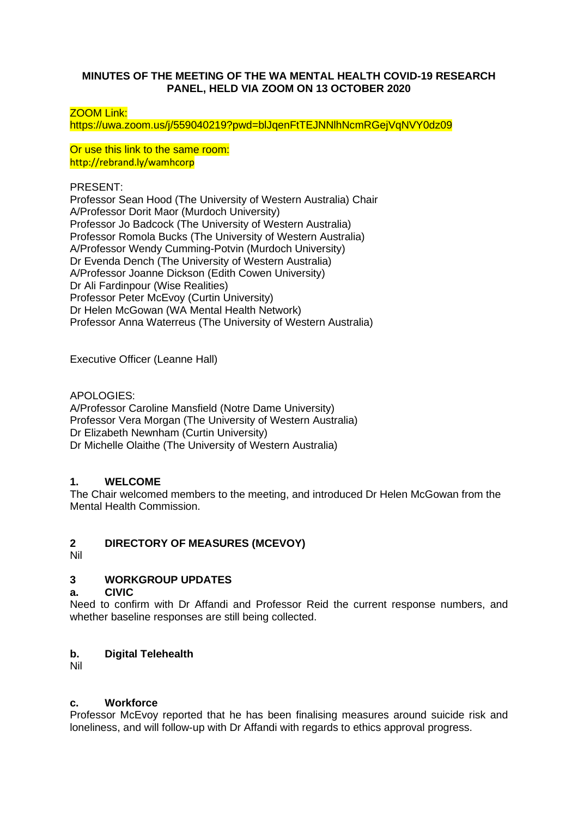## **MINUTES OF THE MEETING OF THE WA MENTAL HEALTH COVID-19 RESEARCH PANEL, HELD VIA ZOOM ON 13 OCTOBER 2020**

ZOOM Link:

https://uwa.zoom.us/j/559040219?pwd=blJqenFtTEJNNlhNcmRGejVqNVY0dz09

Or use this link to the same room: http://rebrand.ly/wamhcorp

PRESENT:

Professor Sean Hood (The University of Western Australia) Chair A/Professor Dorit Maor (Murdoch University) Professor Jo Badcock (The University of Western Australia) Professor Romola Bucks (The University of Western Australia) A/Professor Wendy Cumming-Potvin (Murdoch University) Dr Evenda Dench (The University of Western Australia) A/Professor Joanne Dickson (Edith Cowen University) Dr Ali Fardinpour (Wise Realities) Professor Peter McEvoy (Curtin University) Dr Helen McGowan (WA Mental Health Network) Professor Anna Waterreus (The University of Western Australia)

Executive Officer (Leanne Hall)

APOLOGIES:

A/Professor Caroline Mansfield (Notre Dame University) Professor Vera Morgan (The University of Western Australia) Dr Elizabeth Newnham (Curtin University) Dr Michelle Olaithe (The University of Western Australia)

## **1. WELCOME**

The Chair welcomed members to the meeting, and introduced Dr Helen McGowan from the Mental Health Commission.

## **2 DIRECTORY OF MEASURES (MCEVOY)**

Nil

# **3 WORKGROUP UPDATES**

#### **a. CIVIC**

Need to confirm with Dr Affandi and Professor Reid the current response numbers, and whether baseline responses are still being collected.

#### **b. Digital Telehealth**

Nil

## **c. Workforce**

Professor McEvoy reported that he has been finalising measures around suicide risk and loneliness, and will follow-up with Dr Affandi with regards to ethics approval progress.